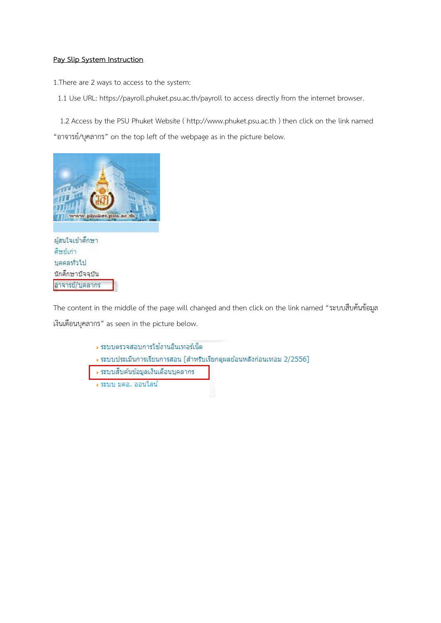## **Pay Slip System Instruction**

1.There are 2 ways to access to the system:

1.1 Use URL: https://payroll.phuket.psu.ac.th/payroll to access directly from the internet browser.

 1.2 Access by the PSU Phuket Website ( http://www.phuket.psu.ac.th ) then click on the link named "อาจารย์/บุคลากร" on the top left of the webpage as in the picture below.



ผู้สนใจเข้าศึกษา ดีษย์เก่า บุคคลทั่วไป นักศึกษาปัจจุบัน อาจารย์/บุคลากร

The content in the middle of the page will changed and then click on the link named "ระบบสืบค้นข้อมูล เงินเดือนบุคลากร" as seen in the picture below.

- ∍ ระบบตรวจสอบการใช้งานอินเทอร์เน็ต
- → ระบบประเมินการเรียนการสอน [สำหรับเรียกดูผลย้อนหลังก่อนเทอม 2/2556]
- → ระบบสืบค้นข้อมูลเงินเดือนบุคลากร
- ∍ ระบบ มคอ. ออนใลน์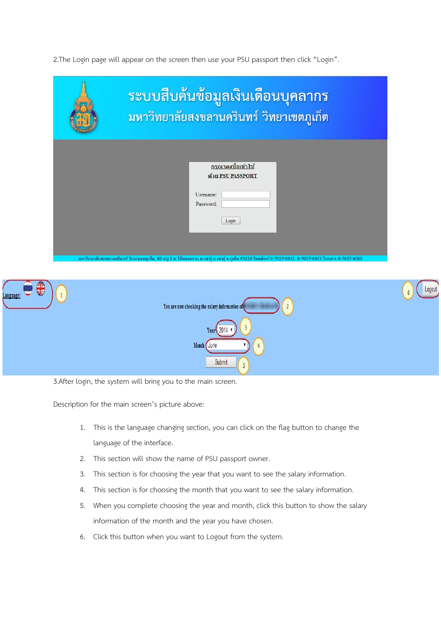2.The Login page will appear on the screen then use your PSU passport then click "Login".

| ระบบสืบค้นข้อมูลเงินเดือนบุคลากร<br>้มหาวิทยาลัยสงขลานครินทร์ วิทยาเขตภูเก็ต      |  |  |
|-----------------------------------------------------------------------------------|--|--|
| <u>กรุณาลงชื่อเข้าใช้</u><br>ด้วย PSU PASSPORT<br>Username:<br>Password:<br>Login |  |  |

| <u>ad</u><br>ℼ<br>Language: | $\overline{2}$<br>You are now checking the salary information of | Logout<br>$\ddot{\theta}$ |
|-----------------------------|------------------------------------------------------------------|---------------------------|
|                             | $\overline{3}$<br>Year 2014<br>$\blacksquare$                    |                           |
|                             | Month June                                                       |                           |
|                             | Submit<br>$\blacksquare$<br>٠                                    |                           |

3.After login, the system will bring you to the main screen.

Description for the main screen's picture above:

- 1. This is the language changing section, you can click on the flag button to change the language of the interface.
- 2. This section will show the name of PSU passport owner.
- 3. This section is for choosing the year that you want to see the salary information.
- 4. This section is for choosing the month that you want to see the salary information.
- 5. When you complete choosing the year and month, click this button to show the salary information of the month and the year you have chosen.
- 6. Click this button when you want to Logout from the system.